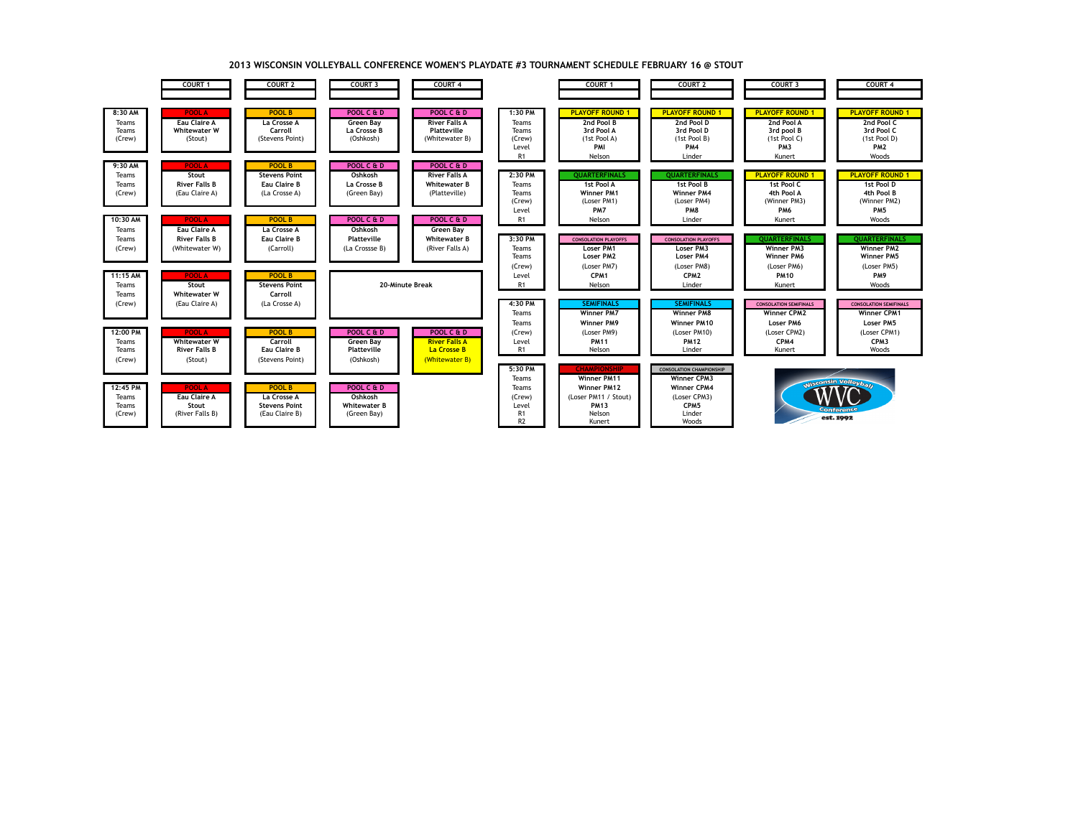

## **2013 WISCONSIN VOLLEYBALL CONFERENCE WOMEN'S PLAYDATE #3 TOURNAMENT SCHEDULE FEBRUARY 16 @ STOUT**